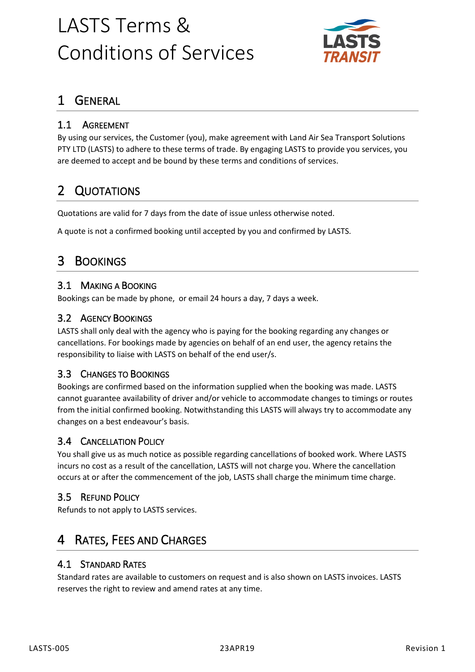

# 1 GENERAL

## 1.1 AGREEMENT

By using our services, the Customer (you), make agreement with Land Air Sea Transport Solutions PTY LTD (LASTS) to adhere to these terms of trade. By engaging LASTS to provide you services, you are deemed to accept and be bound by these terms and conditions of services.

# 2 QUOTATIONS

Quotations are valid for 7 days from the date of issue unless otherwise noted.

A quote is not a confirmed booking until accepted by you and confirmed by LASTS.

## 3 BOOKINGS

#### 3.1 MAKING A BOOKING

Bookings can be made by phone, or email 24 hours a day, 7 days a week.

#### 3.2 AGENCY BOOKINGS

LASTS shall only deal with the agency who is paying for the booking regarding any changes or cancellations. For bookings made by agencies on behalf of an end user, the agency retains the responsibility to liaise with LASTS on behalf of the end user/s.

#### 3.3 CHANGES TO BOOKINGS

Bookings are confirmed based on the information supplied when the booking was made. LASTS cannot guarantee availability of driver and/or vehicle to accommodate changes to timings or routes from the initial confirmed booking. Notwithstanding this LASTS will always try to accommodate any changes on a best endeavour's basis.

#### 3.4 CANCELLATION POLICY

You shall give us as much notice as possible regarding cancellations of booked work. Where LASTS incurs no cost as a result of the cancellation, LASTS will not charge you. Where the cancellation occurs at or after the commencement of the job, LASTS shall charge the minimum time charge.

### 3.5 REFUND POLICY

Refunds to not apply to LASTS services.

# RATES, FEES AND CHARGES

#### 4.1 STANDARD RATES

Standard rates are available to customers on request and is also shown on LASTS invoices. LASTS reserves the right to review and amend rates at any time.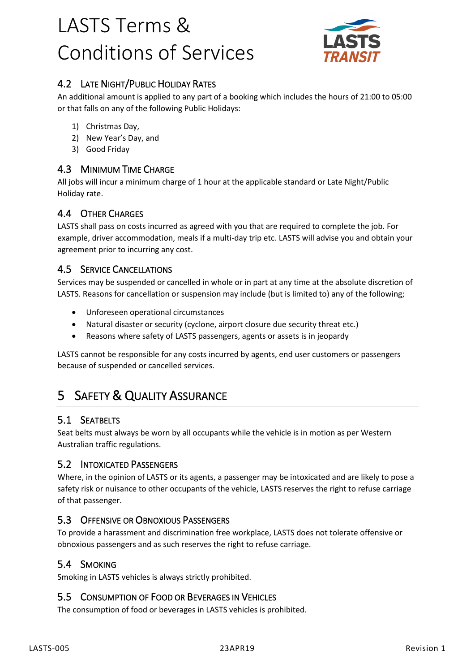

## 4.2 LATE NIGHT/PUBLIC HOLIDAY RATES

An additional amount is applied to any part of a booking which includes the hours of 21:00 to 05:00 or that falls on any of the following Public Holidays:

- 1) Christmas Day,
- 2) New Year's Day, and
- 3) Good Friday

#### 4.3 MINIMUM TIME CHARGE

All jobs will incur a minimum charge of 1 hour at the applicable standard or Late Night/Public Holiday rate.

#### 4.4 OTHER CHARGES

LASTS shall pass on costs incurred as agreed with you that are required to complete the job. For example, driver accommodation, meals if a multi-day trip etc. LASTS will advise you and obtain your agreement prior to incurring any cost.

#### 4.5 SERVICE CANCELLATIONS

Services may be suspended or cancelled in whole or in part at any time at the absolute discretion of LASTS. Reasons for cancellation or suspension may include (but is limited to) any of the following;

- Unforeseen operational circumstances
- Natural disaster or security (cyclone, airport closure due security threat etc.)
- Reasons where safety of LASTS passengers, agents or assets is in jeopardy

LASTS cannot be responsible for any costs incurred by agents, end user customers or passengers because of suspended or cancelled services.

# 5 SAFETY & QUALITY ASSURANCE

#### 5.1 SEATBELTS

Seat belts must always be worn by all occupants while the vehicle is in motion as per Western Australian traffic regulations.

#### 5.2 INTOXICATED PASSENGERS

Where, in the opinion of LASTS or its agents, a passenger may be intoxicated and are likely to pose a safety risk or nuisance to other occupants of the vehicle, LASTS reserves the right to refuse carriage of that passenger.

#### 5.3 OFFENSIVE OR OBNOXIOUS PASSENGERS

To provide a harassment and discrimination free workplace, LASTS does not tolerate offensive or obnoxious passengers and as such reserves the right to refuse carriage.

#### 5.4 SMOKING

Smoking in LASTS vehicles is always strictly prohibited.

#### 5.5 CONSUMPTION OF FOOD OR BEVERAGES IN VEHICLES

The consumption of food or beverages in LASTS vehicles is prohibited.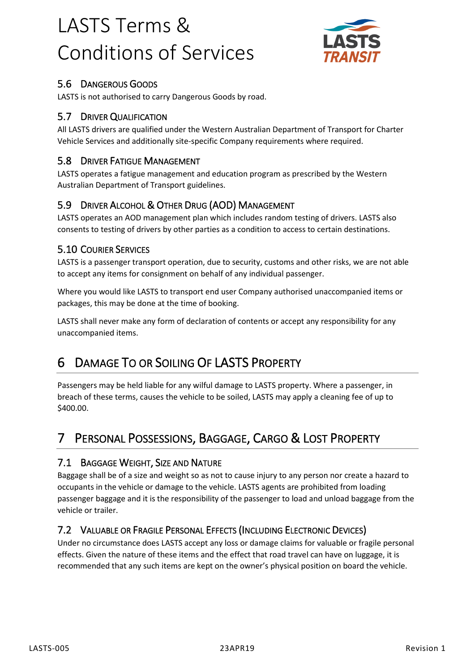

## 5.6 DANGEROUS GOODS

LASTS is not authorised to carry Dangerous Goods by road.

### 5.7 DRIVER QUALIFICATION

All LASTS drivers are qualified under the Western Australian Department of Transport for Charter Vehicle Services and additionally site-specific Company requirements where required.

## 5.8 DRIVER FATIGUE MANAGEMENT

LASTS operates a fatigue management and education program as prescribed by the Western Australian Department of Transport guidelines.

## 5.9 DRIVER ALCOHOL & OTHER DRUG (AOD) MANAGEMENT

LASTS operates an AOD management plan which includes random testing of drivers. LASTS also consents to testing of drivers by other parties as a condition to access to certain destinations.

#### 5.10 COURIER SERVICES

LASTS is a passenger transport operation, due to security, customs and other risks, we are not able to accept any items for consignment on behalf of any individual passenger.

Where you would like LASTS to transport end user Company authorised unaccompanied items or packages, this may be done at the time of booking.

LASTS shall never make any form of declaration of contents or accept any responsibility for any unaccompanied items.

# 6 DAMAGE TO OR SOILING OF LASTS PROPERTY

Passengers may be held liable for any wilful damage to LASTS property. Where a passenger, in breach of these terms, causes the vehicle to be soiled, LASTS may apply a cleaning fee of up to \$400.00.

# 7 PERSONAL POSSESSIONS, BAGGAGE, CARGO & LOST PROPERTY

### 7.1 BAGGAGE WEIGHT, SIZE AND NATURE

Baggage shall be of a size and weight so as not to cause injury to any person nor create a hazard to occupants in the vehicle or damage to the vehicle. LASTS agents are prohibited from loading passenger baggage and it is the responsibility of the passenger to load and unload baggage from the vehicle or trailer.

### 7.2 VALUABLE OR FRAGILE PERSONAL EFFECTS (INCLUDING ELECTRONIC DEVICES)

Under no circumstance does LASTS accept any loss or damage claims for valuable or fragile personal effects. Given the nature of these items and the effect that road travel can have on luggage, it is recommended that any such items are kept on the owner's physical position on board the vehicle.